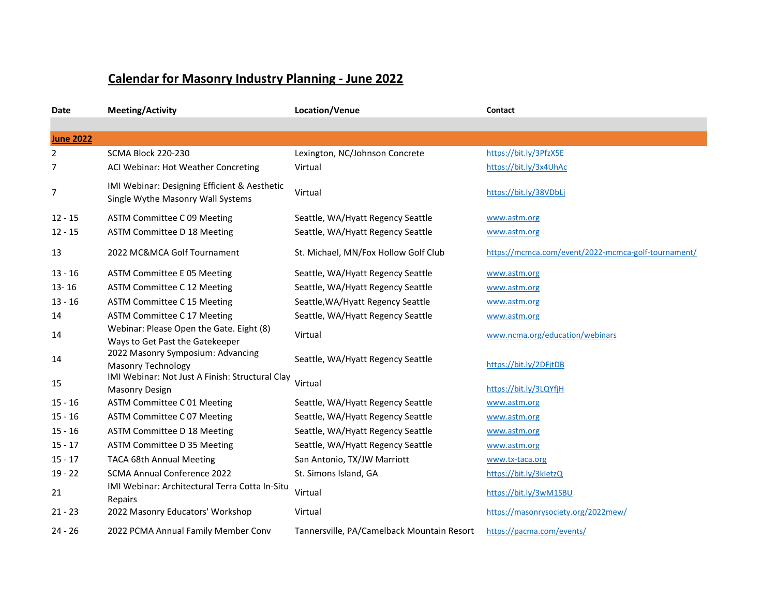## **Calendar for Masonry Industry Planning - June 2022**

| Date             | <b>Meeting/Activity</b>                                                           | Location/Venue                             | Contact                                             |
|------------------|-----------------------------------------------------------------------------------|--------------------------------------------|-----------------------------------------------------|
|                  |                                                                                   |                                            |                                                     |
| <b>June 2022</b> |                                                                                   |                                            |                                                     |
| $\overline{2}$   | SCMA Block 220-230                                                                | Lexington, NC/Johnson Concrete             | https://bit.ly/3PfzX5E                              |
| 7                | ACI Webinar: Hot Weather Concreting                                               | Virtual                                    | https://bit.ly/3x4UhAc                              |
| 7                | IMI Webinar: Designing Efficient & Aesthetic<br>Single Wythe Masonry Wall Systems | Virtual                                    | https://bit.ly/38VDbLj                              |
| $12 - 15$        | ASTM Committee C 09 Meeting                                                       | Seattle, WA/Hyatt Regency Seattle          | www.astm.org                                        |
| $12 - 15$        | ASTM Committee D 18 Meeting                                                       | Seattle, WA/Hyatt Regency Seattle          | www.astm.org                                        |
| 13               | 2022 MC&MCA Golf Tournament                                                       | St. Michael, MN/Fox Hollow Golf Club       | https://mcmca.com/event/2022-mcmca-golf-tournament/ |
| 13 - 16          | <b>ASTM Committee E 05 Meeting</b>                                                | Seattle, WA/Hyatt Regency Seattle          | www.astm.org                                        |
| $13 - 16$        | ASTM Committee C 12 Meeting                                                       | Seattle, WA/Hyatt Regency Seattle          | www.astm.org                                        |
| $13 - 16$        | ASTM Committee C 15 Meeting                                                       | Seattle, WA/Hyatt Regency Seattle          | www.astm.org                                        |
| 14               | ASTM Committee C 17 Meeting                                                       | Seattle, WA/Hyatt Regency Seattle          | www.astm.org                                        |
| 14               | Webinar: Please Open the Gate. Eight (8)<br>Ways to Get Past the Gatekeeper       | Virtual                                    | www.ncma.org/education/webinars                     |
| 14               | 2022 Masonry Symposium: Advancing<br><b>Masonry Technology</b>                    | Seattle, WA/Hyatt Regency Seattle          | https://bit.ly/2DFjtDB                              |
| 15               | IMI Webinar: Not Just A Finish: Structural Clay<br><b>Masonry Design</b>          | Virtual                                    | https://bit.ly/3LQYfjH                              |
| $15 - 16$        | ASTM Committee C 01 Meeting                                                       | Seattle, WA/Hyatt Regency Seattle          | www.astm.org                                        |
| $15 - 16$        | ASTM Committee C 07 Meeting                                                       | Seattle, WA/Hyatt Regency Seattle          | www.astm.org                                        |
| $15 - 16$        | ASTM Committee D 18 Meeting                                                       | Seattle, WA/Hyatt Regency Seattle          | www.astm.org                                        |
| $15 - 17$        | ASTM Committee D 35 Meeting                                                       | Seattle, WA/Hyatt Regency Seattle          | www.astm.org                                        |
| $15 - 17$        | <b>TACA 68th Annual Meeting</b>                                                   | San Antonio, TX/JW Marriott                | www.tx-taca.org                                     |
| $19 - 22$        | SCMA Annual Conference 2022                                                       | St. Simons Island, GA                      | https://bit.ly/3kletzQ                              |
| 21               | IMI Webinar: Architectural Terra Cotta In-Situ<br>Repairs                         | Virtual                                    | https://bit.ly/3wM1SBU                              |
| $21 - 23$        | 2022 Masonry Educators' Workshop                                                  | Virtual                                    | https://masonrysociety.org/2022mew/                 |
| $24 - 26$        | 2022 PCMA Annual Family Member Conv                                               | Tannersville, PA/Camelback Mountain Resort | https://pacma.com/events/                           |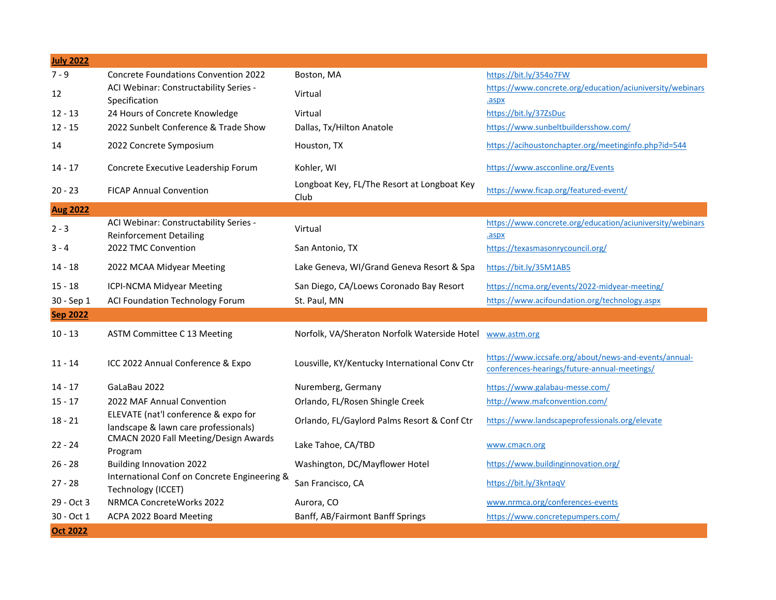| <b>July 2022</b> |                                                                              |                                                     |                                                                                                       |
|------------------|------------------------------------------------------------------------------|-----------------------------------------------------|-------------------------------------------------------------------------------------------------------|
| $7 - 9$          | <b>Concrete Foundations Convention 2022</b>                                  | Boston, MA                                          | https://bit.ly/354o7FW                                                                                |
| 12               | ACI Webinar: Constructability Series -<br>Specification                      | Virtual                                             | https://www.concrete.org/education/aciuniversity/webinars<br>.aspx                                    |
| $12 - 13$        | 24 Hours of Concrete Knowledge                                               | Virtual                                             | https://bit.ly/37ZsDuc                                                                                |
| $12 - 15$        | 2022 Sunbelt Conference & Trade Show                                         | Dallas, Tx/Hilton Anatole                           | https://www.sunbeltbuildersshow.com/                                                                  |
| 14               | 2022 Concrete Symposium                                                      | Houston, TX                                         | https://acihoustonchapter.org/meetinginfo.php?id=544                                                  |
| $14 - 17$        | Concrete Executive Leadership Forum                                          | Kohler, WI                                          | https://www.ascconline.org/Events                                                                     |
| $20 - 23$        | <b>FICAP Annual Convention</b>                                               | Longboat Key, FL/The Resort at Longboat Key<br>Club | https://www.ficap.org/featured-event/                                                                 |
| <b>Aug 2022</b>  |                                                                              |                                                     |                                                                                                       |
| $2 - 3$          | ACI Webinar: Constructability Series -<br><b>Reinforcement Detailing</b>     | Virtual                                             | https://www.concrete.org/education/aciuniversity/webinars<br>.aspx                                    |
| $3 - 4$          | 2022 TMC Convention                                                          | San Antonio, TX                                     | https://texasmasonrycouncil.org/                                                                      |
| 14 - 18          | 2022 MCAA Midyear Meeting                                                    | Lake Geneva, WI/Grand Geneva Resort & Spa           | https://bit.ly/35M1AB5                                                                                |
| $15 - 18$        | <b>ICPI-NCMA Midyear Meeting</b>                                             | San Diego, CA/Loews Coronado Bay Resort             | https://ncma.org/events/2022-midyear-meeting/                                                         |
| 30 - Sep 1       | ACI Foundation Technology Forum                                              | St. Paul, MN                                        | https://www.acifoundation.org/technology.aspx                                                         |
| <b>Sep 2022</b>  |                                                                              |                                                     |                                                                                                       |
| $10 - 13$        | ASTM Committee C 13 Meeting                                                  | Norfolk, VA/Sheraton Norfolk Waterside Hotel        | www.astm.org                                                                                          |
| $11 - 14$        | ICC 2022 Annual Conference & Expo                                            | Lousville, KY/Kentucky International Conv Ctr       | https://www.iccsafe.org/about/news-and-events/annual-<br>conferences-hearings/future-annual-meetings/ |
| $14 - 17$        | GaLaBau 2022                                                                 | Nuremberg, Germany                                  | https://www.galabau-messe.com/                                                                        |
| $15 - 17$        | 2022 MAF Annual Convention                                                   | Orlando, FL/Rosen Shingle Creek                     | http://www.mafconvention.com/                                                                         |
| $18 - 21$        | ELEVATE (nat'l conference & expo for<br>landscape & lawn care professionals) | Orlando, FL/Gaylord Palms Resort & Conf Ctr         | https://www.landscapeprofessionals.org/elevate                                                        |
| $22 - 24$        | CMACN 2020 Fall Meeting/Design Awards<br>Program                             | Lake Tahoe, CA/TBD                                  | www.cmacn.org                                                                                         |
| $26 - 28$        | <b>Building Innovation 2022</b>                                              | Washington, DC/Mayflower Hotel                      | https://www.buildinginnovation.org/                                                                   |
| $27 - 28$        | International Conf on Concrete Engineering &<br>Technology (ICCET)           | San Francisco, CA                                   | https://bit.ly/3kntaqV                                                                                |
| 29 - Oct 3       | <b>NRMCA ConcreteWorks 2022</b>                                              | Aurora, CO                                          | www.nrmca.org/conferences-events                                                                      |
| 30 - Oct 1       | ACPA 2022 Board Meeting                                                      | Banff, AB/Fairmont Banff Springs                    | https://www.concretepumpers.com/                                                                      |
| <b>Oct 2022</b>  |                                                                              |                                                     |                                                                                                       |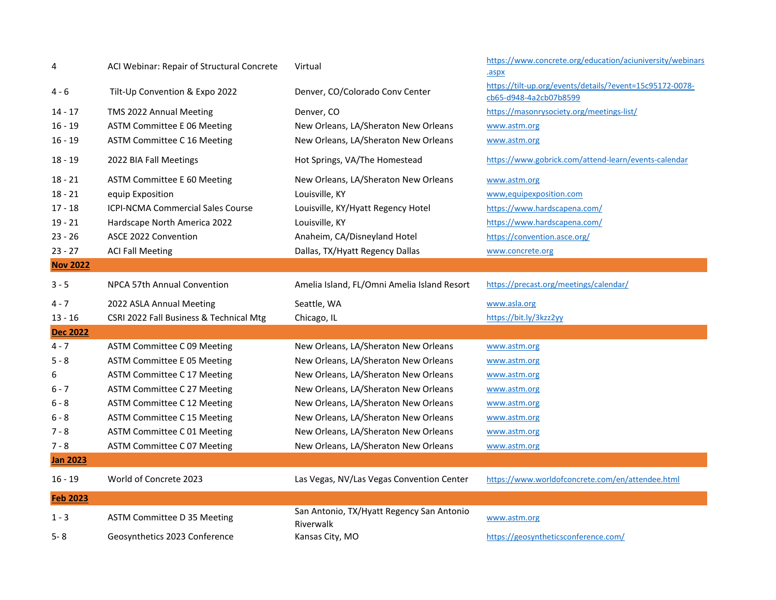| 4               | ACI Webinar: Repair of Structural Concrete | Virtual                                                | https://www.concrete.org/education/aciuniversity/webinars<br>.aspx                 |
|-----------------|--------------------------------------------|--------------------------------------------------------|------------------------------------------------------------------------------------|
| 4 - 6           | Tilt-Up Convention & Expo 2022             | Denver, CO/Colorado Conv Center                        | https://tilt-up.org/events/details/?event=15c95172-0078-<br>cb65-d948-4a2cb07b8599 |
| $14 - 17$       | TMS 2022 Annual Meeting                    | Denver, CO                                             | https://masonrysociety.org/meetings-list/                                          |
| $16 - 19$       | <b>ASTM Committee E 06 Meeting</b>         | New Orleans, LA/Sheraton New Orleans                   | www.astm.org                                                                       |
| $16 - 19$       | ASTM Committee C 16 Meeting                | New Orleans, LA/Sheraton New Orleans                   | www.astm.org                                                                       |
| $18 - 19$       | 2022 BIA Fall Meetings                     | Hot Springs, VA/The Homestead                          | https://www.gobrick.com/attend-learn/events-calendar                               |
| $18 - 21$       | ASTM Committee E 60 Meeting                | New Orleans, LA/Sheraton New Orleans                   | www.astm.org                                                                       |
| $18 - 21$       | equip Exposition                           | Louisville, KY                                         | www,equipexposition.com                                                            |
| $17 - 18$       | ICPI-NCMA Commercial Sales Course          | Louisville, KY/Hyatt Regency Hotel                     | https://www.hardscapena.com/                                                       |
| $19 - 21$       | Hardscape North America 2022               | Louisville, KY                                         | https://www.hardscapena.com/                                                       |
| $23 - 26$       | ASCE 2022 Convention                       | Anaheim, CA/Disneyland Hotel                           | https://convention.asce.org/                                                       |
| $23 - 27$       | <b>ACI Fall Meeting</b>                    | Dallas, TX/Hyatt Regency Dallas                        | www.concrete.org                                                                   |
| <b>Nov 2022</b> |                                            |                                                        |                                                                                    |
| $3 - 5$         | NPCA 57th Annual Convention                | Amelia Island, FL/Omni Amelia Island Resort            | https://precast.org/meetings/calendar/                                             |
| $4 - 7$         | 2022 ASLA Annual Meeting                   | Seattle, WA                                            | www.asla.org                                                                       |
| $13 - 16$       | CSRI 2022 Fall Business & Technical Mtg    | Chicago, IL                                            | https://bit.ly/3kzz2yy                                                             |
| <b>Dec 2022</b> |                                            |                                                        |                                                                                    |
| $4 - 7$         | ASTM Committee C 09 Meeting                | New Orleans, LA/Sheraton New Orleans                   | www.astm.org                                                                       |
| $5 - 8$         | <b>ASTM Committee E 05 Meeting</b>         | New Orleans, LA/Sheraton New Orleans                   | www.astm.org                                                                       |
| 6               | ASTM Committee C 17 Meeting                | New Orleans, LA/Sheraton New Orleans                   | www.astm.org                                                                       |
| $6 - 7$         | ASTM Committee C 27 Meeting                | New Orleans, LA/Sheraton New Orleans                   | www.astm.org                                                                       |
| 6 - 8           | ASTM Committee C 12 Meeting                | New Orleans, LA/Sheraton New Orleans                   | www.astm.org                                                                       |
| $6 - 8$         | ASTM Committee C 15 Meeting                | New Orleans, LA/Sheraton New Orleans                   | www.astm.org                                                                       |
| $7 - 8$         | ASTM Committee C 01 Meeting                | New Orleans, LA/Sheraton New Orleans                   | www.astm.org                                                                       |
| $7 - 8$         | ASTM Committee C 07 Meeting                | New Orleans, LA/Sheraton New Orleans                   | www.astm.org                                                                       |
| <b>Jan 2023</b> |                                            |                                                        |                                                                                    |
| $16 - 19$       | World of Concrete 2023                     | Las Vegas, NV/Las Vegas Convention Center              | https://www.worldofconcrete.com/en/attendee.html                                   |
| <b>Feb 2023</b> |                                            |                                                        |                                                                                    |
| $1 - 3$         | ASTM Committee D 35 Meeting                | San Antonio, TX/Hyatt Regency San Antonio<br>Riverwalk | www.astm.org                                                                       |
| $5 - 8$         | Geosynthetics 2023 Conference              | Kansas City, MO                                        | https://geosyntheticsconference.com/                                               |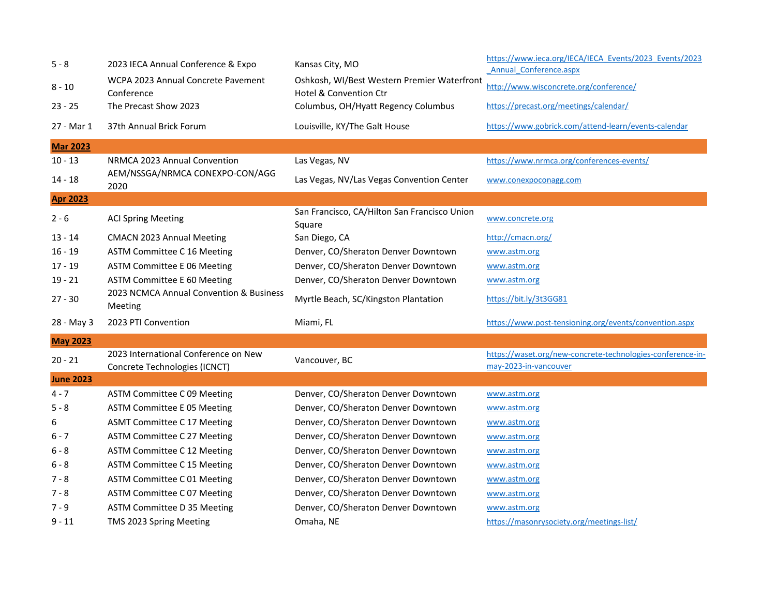| $5 - 8$          | 2023 IECA Annual Conference & Expo                                    | Kansas City, MO                                                       | https://www.ieca.org/IECA/IECA Events/2023 Events/2023<br>Annual Conference.aspx    |
|------------------|-----------------------------------------------------------------------|-----------------------------------------------------------------------|-------------------------------------------------------------------------------------|
| $8 - 10$         | WCPA 2023 Annual Concrete Pavement<br>Conference                      | Oshkosh, WI/Best Western Premier Waterfront<br>Hotel & Convention Ctr | http://www.wisconcrete.org/conference/                                              |
| $23 - 25$        | The Precast Show 2023                                                 | Columbus, OH/Hyatt Regency Columbus                                   | https://precast.org/meetings/calendar/                                              |
| 27 - Mar 1       | 37th Annual Brick Forum                                               | Louisville, KY/The Galt House                                         | https://www.gobrick.com/attend-learn/events-calendar                                |
| <b>Mar 2023</b>  |                                                                       |                                                                       |                                                                                     |
| $10 - 13$        | NRMCA 2023 Annual Convention                                          | Las Vegas, NV                                                         | https://www.nrmca.org/conferences-events/                                           |
| $14 - 18$        | AEM/NSSGA/NRMCA CONEXPO-CON/AGG<br>2020                               | Las Vegas, NV/Las Vegas Convention Center                             | www.conexpoconagg.com                                                               |
| <b>Apr 2023</b>  |                                                                       |                                                                       |                                                                                     |
| $2 - 6$          | <b>ACI Spring Meeting</b>                                             | San Francisco, CA/Hilton San Francisco Union<br>Square                | www.concrete.org                                                                    |
| 13 - 14          | <b>CMACN 2023 Annual Meeting</b>                                      | San Diego, CA                                                         | http://cmacn.org/                                                                   |
| $16 - 19$        | ASTM Committee C 16 Meeting                                           | Denver, CO/Sheraton Denver Downtown                                   | www.astm.org                                                                        |
| $17 - 19$        | <b>ASTM Committee E 06 Meeting</b>                                    | Denver, CO/Sheraton Denver Downtown                                   | www.astm.org                                                                        |
| $19 - 21$        | ASTM Committee E 60 Meeting                                           | Denver, CO/Sheraton Denver Downtown                                   | www.astm.org                                                                        |
| $27 - 30$        | 2023 NCMCA Annual Convention & Business<br>Meeting                    | Myrtle Beach, SC/Kingston Plantation                                  | https://bit.ly/3t3GG81                                                              |
| 28 - May 3       | 2023 PTI Convention                                                   | Miami, FL                                                             | https://www.post-tensioning.org/events/convention.aspx                              |
| <b>May 2023</b>  |                                                                       |                                                                       |                                                                                     |
| $20 - 21$        | 2023 International Conference on New<br>Concrete Technologies (ICNCT) | Vancouver, BC                                                         | https://waset.org/new-concrete-technologies-conference-in-<br>may-2023-in-vancouver |
| <b>June 2023</b> |                                                                       |                                                                       |                                                                                     |
| $4 - 7$          | ASTM Committee C 09 Meeting                                           | Denver, CO/Sheraton Denver Downtown                                   | www.astm.org                                                                        |
| $5 - 8$          | <b>ASTM Committee E 05 Meeting</b>                                    | Denver, CO/Sheraton Denver Downtown                                   | www.astm.org                                                                        |
| 6                | <b>ASMT Committee C 17 Meeting</b>                                    | Denver, CO/Sheraton Denver Downtown                                   | www.astm.org                                                                        |
| $6 - 7$          | ASTM Committee C 27 Meeting                                           | Denver, CO/Sheraton Denver Downtown                                   | www.astm.org                                                                        |
| $6 - 8$          | ASTM Committee C 12 Meeting                                           | Denver, CO/Sheraton Denver Downtown                                   | www.astm.org                                                                        |
| $6 - 8$          | ASTM Committee C 15 Meeting                                           | Denver, CO/Sheraton Denver Downtown                                   | www.astm.org                                                                        |
| $7 - 8$          | ASTM Committee C 01 Meeting                                           | Denver, CO/Sheraton Denver Downtown                                   | www.astm.org                                                                        |
| 7 - 8            | ASTM Committee C 07 Meeting                                           | Denver, CO/Sheraton Denver Downtown                                   | www.astm.org                                                                        |
| $7 - 9$          | ASTM Committee D 35 Meeting                                           | Denver, CO/Sheraton Denver Downtown                                   | www.astm.org                                                                        |
| 9 - 11           | TMS 2023 Spring Meeting                                               | Omaha, NE                                                             | https://masonrysociety.org/meetings-list/                                           |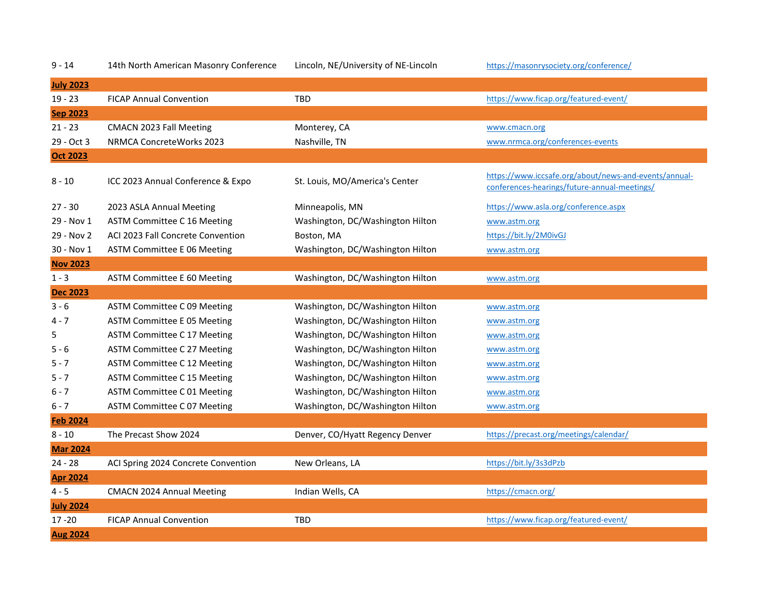| $9 - 14$         | 14th North American Masonry Conference | Lincoln, NE/University of NE-Lincoln | https://masonrysociety.org/conference/                                                                |
|------------------|----------------------------------------|--------------------------------------|-------------------------------------------------------------------------------------------------------|
| <b>July 2023</b> |                                        |                                      |                                                                                                       |
| $19 - 23$        | <b>FICAP Annual Convention</b>         | <b>TBD</b>                           | https://www.ficap.org/featured-event/                                                                 |
| <b>Sep 2023</b>  |                                        |                                      |                                                                                                       |
| $21 - 23$        | <b>CMACN 2023 Fall Meeting</b>         | Monterey, CA                         | www.cmacn.org                                                                                         |
| 29 - Oct 3       | NRMCA ConcreteWorks 2023               | Nashville, TN                        | www.nrmca.org/conferences-events                                                                      |
| <b>Oct 2023</b>  |                                        |                                      |                                                                                                       |
| $8 - 10$         | ICC 2023 Annual Conference & Expo      | St. Louis, MO/America's Center       | https://www.iccsafe.org/about/news-and-events/annual-<br>conferences-hearings/future-annual-meetings/ |
| $27 - 30$        | 2023 ASLA Annual Meeting               | Minneapolis, MN                      | https://www.asla.org/conference.aspx                                                                  |
| 29 - Nov 1       | ASTM Committee C 16 Meeting            | Washington, DC/Washington Hilton     | www.astm.org                                                                                          |
| 29 - Nov 2       | ACI 2023 Fall Concrete Convention      | Boston, MA                           | https://bit.ly/2M0ivGJ                                                                                |
| 30 - Nov 1       | <b>ASTM Committee E 06 Meeting</b>     | Washington, DC/Washington Hilton     | www.astm.org                                                                                          |
| <b>Nov 2023</b>  |                                        |                                      |                                                                                                       |
| $1 - 3$          | <b>ASTM Committee E 60 Meeting</b>     | Washington, DC/Washington Hilton     | www.astm.org                                                                                          |
| <b>Dec 2023</b>  |                                        |                                      |                                                                                                       |
| $3 - 6$          | ASTM Committee C 09 Meeting            | Washington, DC/Washington Hilton     | www.astm.org                                                                                          |
| $4 - 7$          | ASTM Committee E 05 Meeting            | Washington, DC/Washington Hilton     | www.astm.org                                                                                          |
| 5                | ASTM Committee C 17 Meeting            | Washington, DC/Washington Hilton     | www.astm.org                                                                                          |
| 5 - 6            | ASTM Committee C 27 Meeting            | Washington, DC/Washington Hilton     | www.astm.org                                                                                          |
| 5 - 7            | ASTM Committee C 12 Meeting            | Washington, DC/Washington Hilton     | www.astm.org                                                                                          |
| $5 - 7$          | ASTM Committee C 15 Meeting            | Washington, DC/Washington Hilton     | www.astm.org                                                                                          |
| 6 - 7            | ASTM Committee C 01 Meeting            | Washington, DC/Washington Hilton     | www.astm.org                                                                                          |
| $6 - 7$          | ASTM Committee C 07 Meeting            | Washington, DC/Washington Hilton     | www.astm.org                                                                                          |
| <b>Feb 2024</b>  |                                        |                                      |                                                                                                       |
| $8 - 10$         | The Precast Show 2024                  | Denver, CO/Hyatt Regency Denver      | https://precast.org/meetings/calendar/                                                                |
| <b>Mar 2024</b>  |                                        |                                      |                                                                                                       |
| $24 - 28$        | ACI Spring 2024 Concrete Convention    | New Orleans, LA                      | https://bit.ly/3s3dPzb                                                                                |
| <b>Apr 2024</b>  |                                        |                                      |                                                                                                       |
| $4 - 5$          | <b>CMACN 2024 Annual Meeting</b>       | Indian Wells, CA                     | https://cmacn.org/                                                                                    |
| <b>July 2024</b> |                                        |                                      |                                                                                                       |
| $17 - 20$        | <b>FICAP Annual Convention</b>         | <b>TBD</b>                           | https://www.ficap.org/featured-event/                                                                 |
| <b>Aug 2024</b>  |                                        |                                      |                                                                                                       |